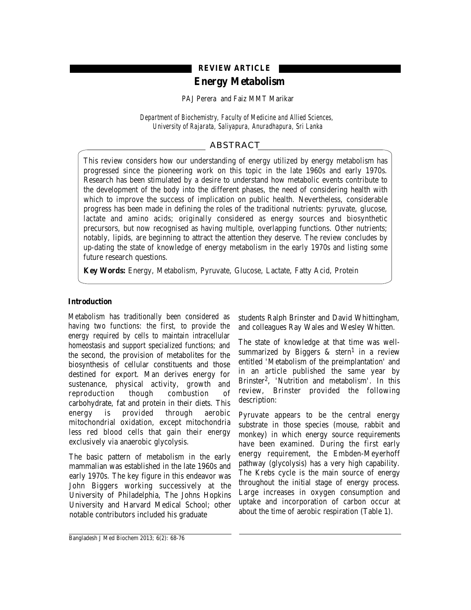# **REVIEW ARTICLE**

# **Energy Metabolism**

PAJ Perera and Faiz MMT Marikar

*Department of Biochemistry, Faculty of Medicine and Allied Sciences, University of Rajarata, Saliyapura, Anuradhapura, Sri Lanka*

# ABSTRACT

This review considers how our understanding of energy utilized by energy metabolism has progressed since the pioneering work on this topic in the late 1960s and early 1970s. Research has been stimulated by a desire to understand how metabolic events contribute to the development of the body into the different phases, the need of considering health with which to improve the success of implication on public health. Nevertheless, considerable progress has been made in defining the roles of the traditional nutrients: pyruvate, glucose, lactate and amino acids; originally considered as energy sources and biosynthetic precursors, but now recognised as having multiple, overlapping functions. Other nutrients; notably, lipids, are beginning to attract the attention they deserve. The review concludes by up-dating the state of knowledge of energy metabolism in the early 1970s and listing some future research questions.

**Key Words:** Energy, Metabolism, Pyruvate, Glucose, Lactate, Fatty Acid, Protein

# **Introduction**

Metabolism has traditionally been considered as having two functions: the first, to provide the energy required by cells to maintain intracellular homeostasis and support specialized functions; and the second, the provision of metabolites for the biosynthesis of cellular constituents and those destined for export. Man derives energy for sustenance, physical activity, growth and reproduction though combustion of carbohydrate, fat and protein in their diets. This energy is provided through aerobic mitochondrial oxidation, except mitochondria less red blood cells that gain their energy exclusively via anaerobic glycolysis.

The basic pattern of metabolism in the early mammalian was established in the late 1960s and early 1970s. The key figure in this endeavor was John Biggers working successively at the University of Philadelphia, The Johns Hopkins University and Harvard Medical School; other notable contributors included his graduate

students Ralph Brinster and David Whittingham, and colleagues Ray Wales and Wesley Whitten.

The state of knowledge at that time was wellsummarized by Biggers  $\&$  stern<sup>1</sup> in a review entitled 'Metabolism of the preimplantation' and in an article published the same year by Brinster2, 'Nutrition and metabolism'. In this review, Brinster provided the following description:

Pyruvate appears to be the central energy substrate in those species (mouse, rabbit and monkey) in which energy source requirements have been examined. During the first early energy requirement, the Embden-Meyerhoff pathway (glycolysis) has a very high capability. The Krebs cycle is the main source of energy throughout the initial stage of energy process. Large increases in oxygen consumption and uptake and incorporation of carbon occur at about the time of aerobic respiration (Table 1).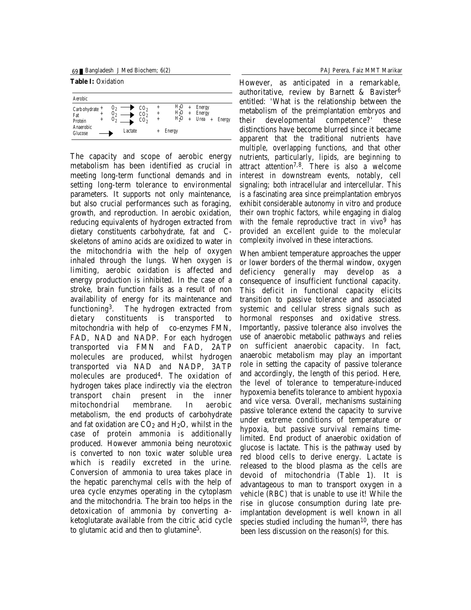69 Bangladesh J Med Biochem; 6(2) PAJ Perera, Faiz MMT Marikar

**Table I:** Oxidation

| Aerobic                                                                                                                  |                                                         |                |                                                 |                  |                                              |               |
|--------------------------------------------------------------------------------------------------------------------------|---------------------------------------------------------|----------------|-------------------------------------------------|------------------|----------------------------------------------|---------------|
| 0 <sub>2</sub><br>Carb ohydrate +<br>02<br>$\ddot{}$<br>Fat<br>02<br>$\ddot{}$<br>Protein<br>Anaerobic<br><b>Glucose</b> | CO <sub>2</sub><br>CO <sub>2</sub><br>$\cos$<br>Lactate | $^+$<br>+<br>+ | H,0<br>H <sub>2</sub> 0<br>H,0<br><b>Energy</b> | $\ddot{}$<br>$+$ | <b>Energy</b><br>Energy<br>Urea<br>$\ddot{}$ | <b>Energy</b> |

The capacity and scope of aerobic energy metabolism has been identified as crucial in meeting long-term functional demands and in setting long-term tolerance to environmental parameters. It supports not only maintenance, but also crucial performances such as foraging, growth, and reproduction. In aerobic oxidation, reducing equivalents of hydrogen extracted from dietary constituents carbohydrate, fat and Cskeletons of amino acids are oxidized to water in the mitochondria with the help of oxygen inhaled through the lungs. When oxygen is limiting, aerobic oxidation is affected and energy production is inhibited. In the case of a stroke, brain function fails as a result of non availability of energy for its maintenance and functioning3. The hydrogen extracted from dietary constituents is transported to mitochondria with help of co-enzymes FMN, FAD, NAD and NADP. For each hydrogen transported via FMN and FAD, 2ATP molecules are produced, whilst hydrogen transported via NAD and NADP, 3ATP molecules are produced4. The oxidation of hydrogen takes place indirectly via the electron transport chain present in the inner mitochondrial membrane. In aerobic metabolism, the end products of carbohydrate and fat oxidation are  $CO<sub>2</sub>$  and  $H<sub>2</sub>O$ , whilst in the case of protein ammonia is additionally produced. However ammonia being neurotoxic is converted to non toxic water soluble urea which is readily excreted in the urine. Conversion of ammonia to urea takes place in the hepatic parenchymal cells with the help of urea cycle enzymes operating in the cytoplasm and the mitochondria. The brain too helps in the detoxication of ammonia by converting αketoglutarate available from the citric acid cycle to glutamic acid and then to glutamine5.

However, as anticipated in a remarkable, authoritative, review by Barnett & Bavister<sup>6</sup> entitled: 'What is the relationship between the metabolism of the preimplantation embryos and their developmental competence?' these distinctions have become blurred since it became apparent that the traditional nutrients have multiple, overlapping functions, and that other nutrients, particularly, lipids, are beginning to attract attention7,8. There is also a welcome interest in downstream events, notably, cell signaling; both intracellular and intercellular. This is a fascinating area since preimplantation embryos exhibit considerable autonomy in vitro and produce their own trophic factors, while engaging in dialog with the female reproductive tract in *vivo*<sup>9</sup> has provided an excellent guide to the molecular complexity involved in these interactions.

When ambient temperature approaches the upper or lower borders of the thermal window, oxygen deficiency generally may develop as a consequence of insufficient functional capacity. This deficit in functional capacity elicits transition to passive tolerance and associated systemic and cellular stress signals such as hormonal responses and oxidative stress. Importantly, passive tolerance also involves the use of anaerobic metabolic pathways and relies on sufficient anaerobic capacity. In fact, anaerobic metabolism may play an important role in setting the capacity of passive tolerance and accordingly, the length of this period. Here, the level of tolerance to temperature-induced hypoxemia benefits tolerance to ambient hypoxia and vice versa. Overall, mechanisms sustaining passive tolerance extend the capacity to survive under extreme conditions of temperature or hypoxia, but passive survival remains timelimited. End product of anaerobic oxidation of glucose is lactate. This is the pathway used by red blood cells to derive energy. Lactate is released to the blood plasma as the cells are devoid of mitochondria (Table 1). It is advantageous to man to transport oxygen in a vehicle (RBC) that is unable to use it! While the rise in glucose consumption during late preimplantation development is well known in all species studied including the human $10$ , there has been less discussion on the reason(s) for this.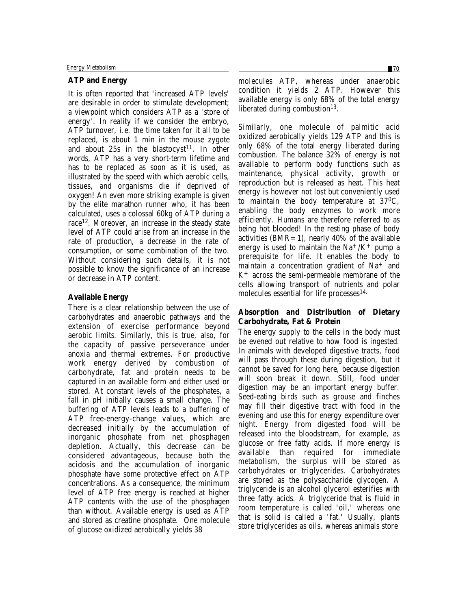# **ATP and Energy**

It is often reported that 'increased ATP levels' are desirable in order to stimulate development; a viewpoint which considers ATP as a 'store of energy'. In reality if we consider the embryo, ATP turnover, i.e. the time taken for it all to be replaced, is about 1 min in the mouse zygote and about  $25s$  in the blastocyst<sup>11</sup>. In other words, ATP has a very short-term lifetime and has to be replaced as soon as it is used, as illustrated by the speed with which aerobic cells, tissues, and organisms die if deprived of oxygen! An even more striking example is given by the elite marathon runner who, it has been calculated, uses a colossal 60kg of ATP during a race12. Moreover, an increase in the steady state level of ATP could arise from an increase in the rate of production, a decrease in the rate of consumption, or some combination of the two. Without considering such details, it is not possible to know the significance of an increase or decrease in ATP content.

# **Available Energy**

There is a clear relationship between the use of carbohydrates and anaerobic pathways and the extension of exercise performance beyond aerobic limits. Similarly, this is true, also, for the capacity of passive perseverance under anoxia and thermal extremes. For productive work energy derived by combustion of carbohydrate, fat and protein needs to be captured in an available form and either used or stored. At constant levels of the phosphates, a fall in pH initially causes a small change. The buffering of ATP levels leads to a buffering of ATP free-energy-change values, which are decreased initially by the accumulation of inorganic phosphate from net phosphagen depletion. Actually, this decrease can be considered advantageous, because both the acidosis and the accumulation of inorganic phosphate have some protective effect on ATP concentrations. As a consequence, the minimum level of ATP free energy is reached at higher ATP contents with the use of the phosphagen than without. Available energy is used as ATP and stored as creatine phosphate. One molecule of glucose oxidized aerobically yields 38

molecules ATP, whereas under anaerobic condition it yields 2 ATP. However this available energy is only 68% of the total energy liberated during combustion<sup>13</sup>.

Similarly, one molecule of palmitic acid oxidized aerobically yields 129 ATP and this is only 68% of the total energy liberated during combustion. The balance 32% of energy is not available to perform body functions such as maintenance, physical activity, growth or reproduction but is released as heat. This heat energy is however not lost but conveniently used to maintain the body temperature at 370C, enabling the body enzymes to work more efficiently. Humans are therefore referred to as being hot blooded! In the resting phase of body activities  $(BMR=1)$ , nearly 40% of the available energy is used to maintain the  $Na^{+}/K^{+}$  pump a prerequisite for life. It enables the body to maintain a concentration gradient of Na<sup>+</sup> and K+ across the semi-permeable membrane of the cells allowing transport of nutrients and polar molecules essential for life processes<sup>14.</sup>

# **Absorption and Distribution of Dietary Carbohydrate, Fat & Protein**

The energy supply to the cells in the body must be evened out relative to how food is ingested. In animals with developed digestive tracts, food will pass through these during digestion, but it cannot be saved for long here, because digestion will soon break it down. Still, food under digestion may be an important energy buffer. Seed-eating birds such as grouse and finches may fill their digestive tract with food in the evening and use this for energy expenditure over night. Energy from digested food will be released into the bloodstream, for example, as glucose or free fatty acids. If more energy is available than required for immediate metabolism, the surplus will be stored as carbohydrates or triglycerides. Carbohydrates are stored as the polysaccharide glycogen. A triglyceride is an alcohol glycerol esterifies with three fatty acids. A triglyceride that is fluid in room temperature is called 'oil,' whereas one that is solid is called a 'fat.' Usually, plants store triglycerides as oils, whereas animals store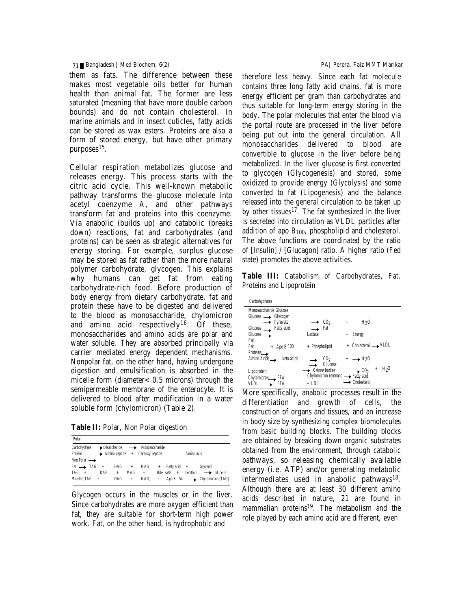### 71 Bangladesh J Med Biochem; 6(2) PAJ Perera, Faiz MMT Marikar

them as fats. The difference between these makes most vegetable oils better for human health than animal fat. The former are less saturated (meaning that have more double carbon bounds) and do not contain cholesterol. In marine animals and in insect cuticles, fatty acids can be stored as wax esters. Proteins are also a form of stored energy, but have other primary purposes15.

Cellular respiration metabolizes glucose and releases energy. This process starts with the citric acid cycle. This well-known metabolic pathway transforms the glucose molecule into acetyl coenzyme A, and other pathways transform fat and proteins into this coenzyme. Via anabolic (builds up) and catabolic (breaks down) reactions, fat and carbohydrates (and proteins) can be seen as strategic alternatives for energy storing. For example, surplus glucose may be stored as fat rather than the more natural polymer carbohydrate, glycogen. This explains why humans can get fat from eating carbohydrate-rich food. Before production of body energy from dietary carbohydrate, fat and protein these have to be digested and delivered to the blood as monosaccharide, chylomicron and amino acid respectively<sup>16</sup>. Of these, monosaccharides and amino acids are polar and water soluble. They are absorbed principally via carrier mediated energy dependent mechanisms. Nonpolar fat, on the other hand, having undergone digestion and emulsification is absorbed in the micelle form (diameter $< 0.5$  microns) through the semipermeable membrane of the enterocyte. It is delivered to blood after modification in a water soluble form (chylomicron) (Table 2).

**Table II:** Polar, Non Polar digestion

| Polar                                                                                                                              |                                 |                          |                                                                                                               |  |
|------------------------------------------------------------------------------------------------------------------------------------|---------------------------------|--------------------------|---------------------------------------------------------------------------------------------------------------|--|
| Carbohydrate -> Disaccharide -> Monosaccharide<br>Protein $\longrightarrow$ Amino peptide + Carboxy peptide                        |                                 |                          | Amino acid                                                                                                    |  |
| Non Polar $\longrightarrow$<br>$\text{Fat} \longrightarrow \text{TAG} + \text{DAG} +$<br>$TAG +$<br><b>DAG</b><br>Micelle (TAG $+$ | MAG<br>$+$<br><b>DAG</b><br>$+$ | MAG<br>$\ddot{}$<br>MAG) | + Fatty acid + Glycerol<br>Bile salts + Lecithin $\longrightarrow$ Micelle<br>+ Apo B 54 -> Chylomicron (TAG) |  |

Glycogen occurs in the muscles or in the liver. Since carbohydrates are more oxygen efficient than fat, they are suitable for short-term high power work. Fat, on the other hand, is hydrophobic and

therefore less heavy. Since each fat molecule contains three long fatty acid chains, fat is more energy efficient per gram than carbohydrates and thus suitable for long-term energy storing in the body. The polar molecules that enter the blood via the portal route are processed in the liver before being put out into the general circulation. All monosaccharides delivered to blood are convertible to glucose in the liver before being metabolized. In the liver glucose is first converted to glycogen (Glycogenesis) and stored, some oxidized to provide energy (Glycolysis) and some converted to fat (Lipogenesis) and the balance released into the general circulation to be taken up by other tissues $17$ . The fat synthesized in the liver is secreted into circulation as VLDL particles after addition of apo  $B_{100}$ , phospholipid and cholesterol. The above functions are coordinated by the ratio of [Insulin] / [Glucagon] ratio. A higher ratio (Fed state) promotes the above activities.

**Table III:** Catabolism of Carbohydrates, Fat, Proteins and Lipoprotein

| <b>Carbohydrates</b>               |                                   |                                                                |
|------------------------------------|-----------------------------------|----------------------------------------------------------------|
| Monosaccharide Glucose             |                                   |                                                                |
| $Glucose \longrightarrow Glycogen$ |                                   |                                                                |
| $\rightarrow$ Pyruvate             | CO <sub>2</sub>                   | H <sub>2</sub> 0<br>$+$                                        |
| <b>Fatty acid</b><br>Glucose       | Fat                               |                                                                |
| Glucose                            | Lactate                           | <b>Energy</b><br>$\ddot{}$                                     |
| Fat                                |                                   |                                                                |
| Fat<br>$+$ Apo B 100               | + Phospholipid                    | $Cholesterol \longrightarrow VLDL$                             |
| Proteins                           |                                   |                                                                |
| Amino Acids_<br>keto acids         | CO <sub>2</sub>                   | $+ \rightarrow$ H <sub>2</sub> O                               |
|                                    | G lucose                          |                                                                |
| Lipoprotein                        | $\rightarrow$ Ketone bodies       | H <sub>2</sub> 0<br>$\ddot{}$<br>$\rightarrow$ CO <sub>2</sub> |
| Chylomicron <sub>KFA</sub>         | Chylomicron remnant -> Fatty acid |                                                                |
| FFA                                | $+$ LDL                           | <b>Cholesterol</b>                                             |
|                                    |                                   |                                                                |

More specifically, anabolic processes result in the differentiation and growth of cells, the construction of organs and tissues, and an increase in body size by synthesizing complex biomolecules from basic building blocks. The building blocks are obtained by breaking down organic substrates obtained from the environment, through catabolic pathways, so releasing chemically available energy (i.e. ATP) and/or generating metabolic intermediates used in anabolic pathways $18$ . Although there are at least 30 different amino acids described in nature, 21 are found in mammalian proteins19. The metabolism and the role played by each amino acid are different, even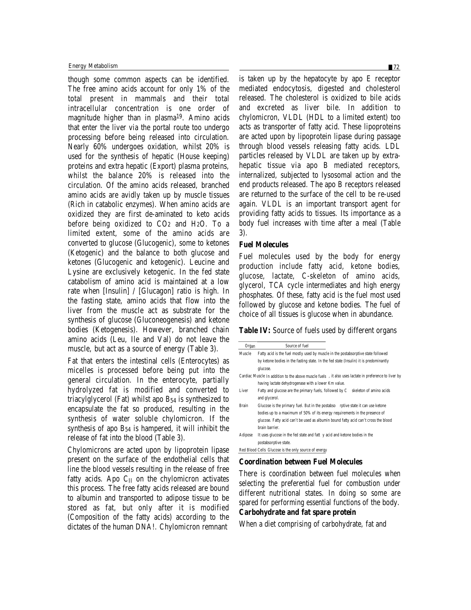though some common aspects can be identified. The free amino acids account for only 1% of the total present in mammals and their total intracellular concentration is one order of magnitude higher than in plasma19. Amino acids that enter the liver via the portal route too undergo processing before being released into circulation. Nearly 60% undergoes oxidation, whilst 20% is used for the synthesis of hepatic (House keeping) proteins and extra hepatic (Export) plasma proteins, whilst the balance 20% is released into the circulation. Of the amino acids released, branched amino acids are avidly taken up by muscle tissues (Rich in catabolic enzymes). When amino acids are oxidized they are first de-aminated to keto acids before being oxidized to CO2 and H2O. To a limited extent, some of the amino acids are converted to glucose (Glucogenic), some to ketones (Ketogenic) and the balance to both glucose and ketones (Glucogenic and ketogenic). Leucine and Lysine are exclusively ketogenic. In the fed state catabolism of amino acid is maintained at a low rate when [Insulin] / [Glucagon] ratio is high. In the fasting state, amino acids that flow into the liver from the muscle act as substrate for the synthesis of glucose (Gluconeogenesis) and ketone bodies (Ketogenesis). However, branched chain amino acids (Leu, Ile and Val) do not leave the muscle, but act as a source of energy (Table 3).

Fat that enters the intestinal cells (Enterocytes) as micelles is processed before being put into the general circulation. In the enterocyte, partially hydrolyzed fat is modified and converted to triacylglycerol (Fat) whilst apo B54 is synthesized to encapsulate the fat so produced, resulting in the synthesis of water soluble chylomicron. If the synthesis of apo B54 is hampered, it will inhibit the release of fat into the blood (Table 3).

Chylomicrons are acted upon by lipoprotein lipase present on the surface of the endothelial cells that line the blood vessels resulting in the release of free fatty acids. Apo  $C_{II}$  on the chylomicron activates this process. The free fatty acids released are bound to albumin and transported to adipose tissue to be stored as fat, but only after it is modified (Composition of the fatty acids) according to the dictates of the human DNA!. Chylomicron remnant

is taken up by the hepatocyte by apo E receptor mediated endocytosis, digested and cholesterol released. The cholesterol is oxidized to bile acids and excreted as liver bile. In addition to chylomicron, VLDL (HDL to a limited extent) too acts as transporter of fatty acid. These lipoproteins are acted upon by lipoprotein lipase during passage through blood vessels releasing fatty acids. LDL particles released by VLDL are taken up by extrahepatic tissue via apo B mediated receptors, internalized, subjected to lysosomal action and the end products released. The apo B receptors released are returned to the surface of the cell to be re-used again. VLDL is an important transport agent for providing fatty acids to tissues. Its importance as a body fuel increases with time after a meal (Table 3).

#### **Fuel Molecules**

Fuel molecules used by the body for energy production include fatty acid, ketone bodies, glucose, lactate, C-skeleton of amino acids, glycerol, TCA cycle intermediates and high energy phosphates. Of these, fatty acid is the fuel most used followed by glucose and ketone bodies. The fuel of choice of all tissues is glucose when in abundance.

#### **Table IV:** Source of fuels used by different organs

| <b>Organ</b> | <b>Source of fuel</b>                                                                                 |
|--------------|-------------------------------------------------------------------------------------------------------|
| Muscle       | Fatty acid is the fuel mostly used by muscle in the postabsorptive state followed                     |
|              | by ketone bodies in the fasting state. In the fed state (Insulin) it is predominantly                 |
|              | glucose.                                                                                              |
|              | Cardiac Muscle In addition to the above muscle fuels , it also uses lactate in preference to liver by |
|              | having lactate dehydrogenase with a lower Km value.                                                   |
| Liver        | Fatty and glucose are the primary fuels, followed by C skeleton of amino acids                        |
|              | and glycerol.                                                                                         |
| Brain        | Glucose is the primary fuel. But in the postabso rptive state it can use ketone                       |
|              | bodies up to a maximum of 50% of its energy requirements in the presence of                           |
|              | glucose. Fatty acid can't be used as albumin bound fatty acid can't cross the blood                   |
|              | brain barrier.                                                                                        |
| Adipose      | It uses glucose in the fed state and fatt y acid and ketone bodies in the                             |
|              | postabsorptive state.                                                                                 |
|              | Red Blood Cells Glucose is the only source of energy                                                  |
|              |                                                                                                       |

#### **Coordination between Fuel Molecules**

There is coordination between fuel molecules when selecting the preferential fuel for combustion under different nutritional states. In doing so some are spared for performing essential functions of the body. **Carbohydrate and fat spare protein**

When a diet comprising of carbohydrate, fat and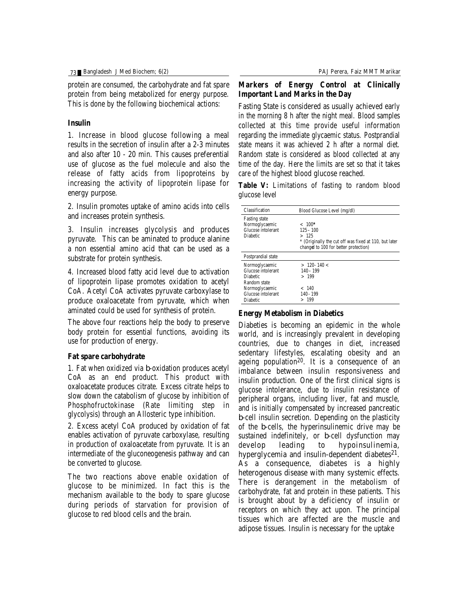protein are consumed, the carbohydrate and fat spare protein from being metabolized for energy purpose. This is done by the following biochemical actions:

## **Insulin**

1. Increase in blood glucose following a meal results in the secretion of insulin after a 2-3 minutes and also after 10 - 20 min. This causes preferential use of glucose as the fuel molecule and also the release of fatty acids from lipoproteins by increasing the activity of lipoprotein lipase for energy purpose.

2. Insulin promotes uptake of amino acids into cells and increases protein synthesis.

3. Insulin increases glycolysis and produces pyruvate. This can be aminated to produce alanine a non essential amino acid that can be used as a substrate for protein synthesis.

4. Increased blood fatty acid level due to activation of lipoprotein lipase promotes oxidation to acetyl CoA. Acetyl CoA activates pyruvate carboxylase to produce oxaloacetate from pyruvate, which when aminated could be used for synthesis of protein.

The above four reactions help the body to preserve body protein for essential functions, avoiding its use for production of energy.

### **Fat spare carbohydrate**

1. Fat when oxidized via β-oxidation produces acetyl CoA as an end product. This product with oxaloacetate produces citrate. Excess citrate helps to slow down the catabolism of glucose by inhibition of Phosphofructokinase (Rate limiting step in glycolysis) through an Allosteric type inhibition.

2. Excess acetyl CoA produced by oxidation of fat enables activation of pyruvate carboxylase, resulting in production of oxaloacetate from pyruvate. It is an intermediate of the gluconeogenesis pathway and can be converted to glucose.

The two reactions above enable oxidation of glucose to be minimized. In fact this is the mechanism available to the body to spare glucose during periods of starvation for provision of glucose to red blood cells and the brain.

# **Markers of Energy Control at Clinically Important Land Marks in the Day**

Fasting State is considered as usually achieved early in the morning 8 h after the night meal. Blood samples collected at this time provide useful information regarding the immediate glycaemic status. Postprandial state means it was achieved 2 h after a normal diet. Random state is considered as blood collected at any time of the day. Here the limits are set so that it takes care of the highest blood glucose reached.

**Table V:** Limitations of fasting to random blood glucose level

| <b>Classification</b>     | <b>Blood Glucose Level (mg/dl)</b>                    |
|---------------------------|-------------------------------------------------------|
| <b>Fasting state</b>      |                                                       |
| Normoglycaemic            | $< 100*$                                              |
| <b>Glucose</b> intolerant | $125 - 100$                                           |
| <b>Diabetic</b>           | >125                                                  |
|                           | * (Originally the cut off was fixed at 110, but later |
|                           | changel to 100 for better protection)                 |
| <b>Postprandial state</b> |                                                       |
| Normoglycaemic            | $>120-140<$                                           |
| <b>Glucose intolerant</b> | 140 - 199                                             |
| <b>Diahetic</b>           | >199                                                  |
| Random state              |                                                       |
| Normoglycaemic            | - 140                                                 |
| <b>Glucose intolerant</b> | 140 - 199                                             |
| <b>Diabetic</b>           | >199                                                  |

## **Energy Metabolism in Diabetics**

Diabeties is becoming an epidemic in the whole world, and is increasingly prevalent in developing countries, due to changes in diet, increased sedentary lifestyles, escalating obesity and an ageing population20. It is a consequence of an imbalance between insulin responsiveness and insulin production. One of the first clinical signs is glucose intolerance, due to insulin resistance of peripheral organs, including liver, fat and muscle, and is initially compensated by increased pancreatic β-cell insulin secretion. Depending on the plasticity of the β-cells, the hyperinsulinemic drive may be sustained indefinitely, or β-cell dysfunction may<br>develop leading to hypoinsulinemia, leading to hypoinsulinemia, hyperglycemia and insulin-dependent diabetes<sup>21</sup>. As a consequence, diabetes is a highly heterogenous disease with many systemic effects. There is derangement in the metabolism of carbohydrate, fat and protein in these patients. This is brought about by a deficiency of insulin or receptors on which they act upon. The principal tissues which are affected are the muscle and adipose tissues. Insulin is necessary for the uptake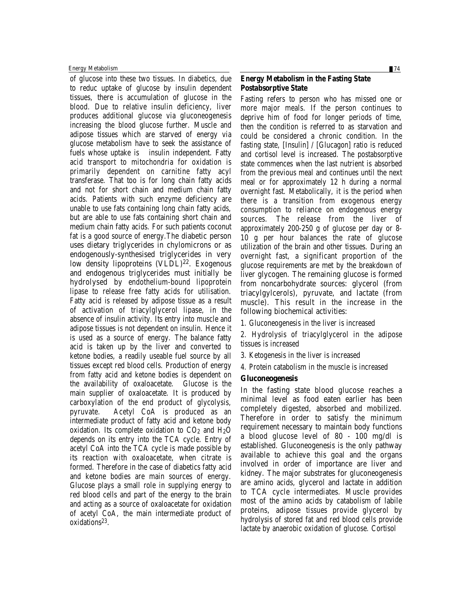Energy Metabolism 74

of glucose into these two tissues. In diabetics, due to reduc uptake of glucose by insulin dependent tissues, there is accumulation of glucose in the blood. Due to relative insulin deficiency, liver produces additional glucose via gluconeogenesis increasing the blood glucose further. Muscle and adipose tissues which are starved of energy via glucose metabolism have to seek the assistance of fuels whose uptake is insulin independent. Fatty acid transport to mitochondria for oxidation is primarily dependent on carnitine fatty acyl transferase. That too is for long chain fatty acids and not for short chain and medium chain fatty acids. Patients with such enzyme deficiency are unable to use fats containing long chain fatty acids, but are able to use fats containing short chain and medium chain fatty acids. For such patients coconut fat is a good source of energy.The diabetic person uses dietary triglycerides in chylomicrons or as endogenously-synthesised triglycerides in very low density lipoproteins (VLDL)<sup>22</sup>. Exogenous and endogenous triglycerides must initially be hydrolysed by endothelium-bound lipoprotein lipase to release free fatty acids for utilisation. Fatty acid is released by adipose tissue as a result of activation of triacylglycerol lipase, in the absence of insulin activity. Its entry into muscle and adipose tissues is not dependent on insulin. Hence it is used as a source of energy. The balance fatty acid is taken up by the liver and converted to ketone bodies, a readily useable fuel source by all tissues except red blood cells. Production of energy from fatty acid and ketone bodies is dependent on the availability of oxaloacetate. Glucose is the main supplier of oxaloacetate. It is produced by carboxylation of the end product of glycolysis, pyruvate. Acetyl CoA is produced as an intermediate product of fatty acid and ketone body oxidation. Its complete oxidation to  $CO<sub>2</sub>$  and  $H<sub>2</sub>O$ depends on its entry into the TCA cycle. Entry of acetyl CoA into the TCA cycle is made possible by its reaction with oxaloacetate, when citrate is formed. Therefore in the case of diabetics fatty acid and ketone bodies are main sources of energy. Glucose plays a small role in supplying energy to red blood cells and part of the energy to the brain and acting as a source of oxaloacetate for oxidation of acetyl CoA, the main intermediate product of oxidations<sup>23</sup>.

# **Energy Metabolism in the Fasting State Postabsorptive State**

Fasting refers to person who has missed one or more major meals. If the person continues to deprive him of food for longer periods of time, then the condition is referred to as starvation and could be considered a chronic condition. In the fasting state, [Insulin] / [Glucagon] ratio is reduced and cortisol level is increased. The postabsorptive state commences when the last nutrient is absorbed from the previous meal and continues until the next meal or for approximately 12 h during a normal overnight fast. Metabolically, it is the period when there is a transition from exogenous energy consumption to reliance on endogenous energy sources. The release from the liver of approximately 200-250 g of glucose per day or 8- 10 g per hour balances the rate of glucose utilization of the brain and other tissues. During an overnight fast, a significant proportion of the glucose requirements are met by the breakdown of liver glycogen. The remaining glucose is formed from noncarbohydrate sources: glycerol (from triacylgylcerols), pyruvate, and lactate (from muscle). This result in the increase in the following biochemical activities:

1. Gluconeogenesis in the liver is increased

2. Hydrolysis of triacylglycerol in the adipose tissues is increased

- 3. Ketogenesis in the liver is increased
- 4. Protein catabolism in the muscle is increased

## **Gluconeogenesis**

In the fasting state blood glucose reaches a minimal level as food eaten earlier has been completely digested, absorbed and mobilized. Therefore in order to satisfy the minimum requirement necessary to maintain body functions a blood glucose level of 80 - 100 mg/dl is established. Gluconeogenesis is the only pathway available to achieve this goal and the organs involved in order of importance are liver and kidney. The major substrates for gluconeogenesis are amino acids, glycerol and lactate in addition to TCA cycle intermediates. Muscle provides most of the amino acids by catabolism of labile proteins, adipose tissues provide glycerol by hydrolysis of stored fat and red blood cells provide lactate by anaerobic oxidation of glucose. Cortisol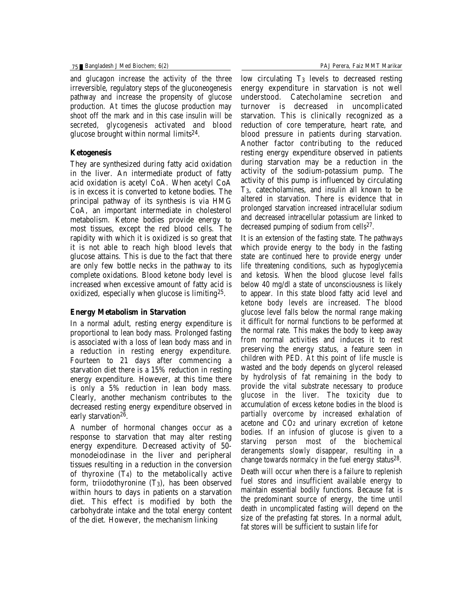and glucagon increase the activity of the three irreversible, regulatory steps of the gluconeogenesis pathway and increase the propensity of glucose production. At times the glucose production may shoot off the mark and in this case insulin will be secreted, glycogenesis activated and blood glucose brought within normal limits<sup>24</sup>.

# **Ketogenesis**

They are synthesized during fatty acid oxidation in the liver. An intermediate product of fatty acid oxidation is acetyl CoA. When acetyl CoA is in excess it is converted to ketone bodies. The principal pathway of its synthesis is via HMG CoA, an important intermediate in cholesterol metabolism. Ketone bodies provide energy to most tissues, except the red blood cells. The rapidity with which it is oxidized is so great that it is not able to reach high blood levels that glucose attains. This is due to the fact that there are only few bottle necks in the pathway to its complete oxidations. Blood ketone body level is increased when excessive amount of fatty acid is oxidized, especially when glucose is limiting25.

### **Energy Metabolism in Starvation**

In a normal adult, resting energy expenditure is proportional to lean body mass. Prolonged fasting is associated with a loss of lean body mass and in a reduction in resting energy expenditure. Fourteen to 21 days after commencing a starvation diet there is a 15% reduction in resting energy expenditure. However, at this time there is only a 5% reduction in lean body mass. Clearly, another mechanism contributes to the decreased resting energy expenditure observed in early starvation<sup>26</sup>.

A number of hormonal changes occur as a response to starvation that may alter resting energy expenditure. Decreased activity of 50 monodeiodinase in the liver and peripheral tissues resulting in a reduction in the conversion of thyroxine  $(T_4)$  to the metabolically active form, triiodothyronine (T3), has been observed within hours to days in patients on a starvation diet. This effect is modified by both the carbohydrate intake and the total energy content of the diet. However, the mechanism linking

low circulating  $T_3$  levels to decreased resting energy expenditure in starvation is not well understood. Catecholamine secretion and turnover is decreased in uncomplicated starvation. This is clinically recognized as a reduction of core temperature, heart rate, and blood pressure in patients during starvation. Another factor contributing to the reduced resting energy expenditure observed in patients during starvation may be a reduction in the activity of the sodium-potassium pump. The activity of this pump is influenced by circulating T3, catecholamines, and insulin all known to be altered in starvation. There is evidence that in prolonged starvation increased intracellular sodium and decreased intracellular potassium are linked to decreased pumping of sodium from cells<sup>27</sup>.

It is an extension of the fasting state. The pathways which provide energy to the body in the fasting state are continued here to provide energy under life threatening conditions, such as hypoglycemia and ketosis. When the blood glucose level falls below 40 mg/dl a state of unconsciousness is likely to appear. In this state blood fatty acid level and ketone body levels are increased. The blood glucose level falls below the normal range making it difficult for normal functions to be performed at the normal rate. This makes the body to keep away from normal activities and induces it to rest preserving the energy status, a feature seen in children with PED. At this point of life muscle is wasted and the body depends on glycerol released by hydrolysis of fat remaining in the body to provide the vital substrate necessary to produce glucose in the liver. The toxicity due to accumulation of excess ketone bodies in the blood is partially overcome by increased exhalation of acetone and CO2 and urinary excretion of ketone bodies. If an infusion of glucose is given to a starving person most of the biochemical derangements slowly disappear, resulting in a change towards normalcy in the fuel energy status<sup>28</sup>. Death will occur when there is a failure to replenish fuel stores and insufficient available energy to maintain essential bodily functions. Because fat is the predominant source of energy, the time until death in uncomplicated fasting will depend on the size of the prefasting fat stores. In a normal adult, fat stores will be sufficient to sustain life for